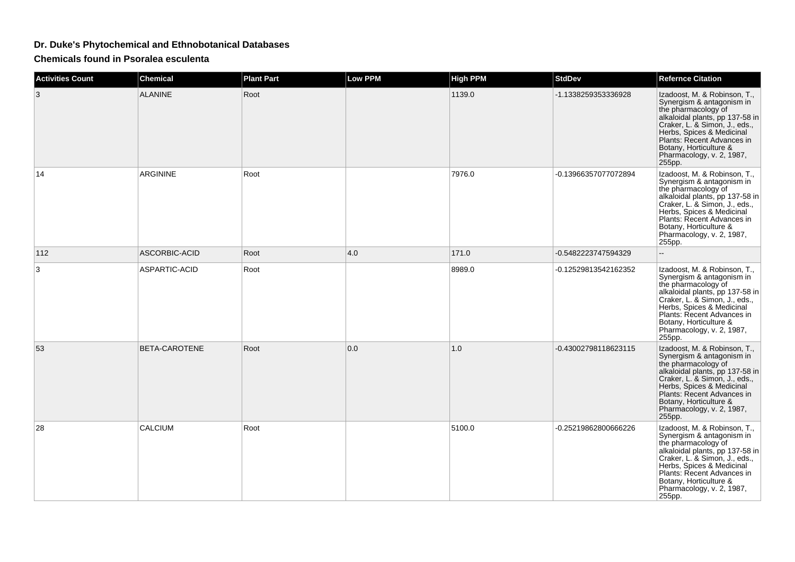## **Dr. Duke's Phytochemical and Ethnobotanical Databases**

**Chemicals found in Psoralea esculenta**

| <b>Activities Count</b> | <b>Chemical</b>      | <b>Plant Part</b> | <b>Low PPM</b> | <b>High PPM</b> | <b>StdDev</b>        | <b>Refernce Citation</b>                                                                                                                                                                                                                                                         |
|-------------------------|----------------------|-------------------|----------------|-----------------|----------------------|----------------------------------------------------------------------------------------------------------------------------------------------------------------------------------------------------------------------------------------------------------------------------------|
| 3                       | <b>ALANINE</b>       | Root              |                | 1139.0          | -1.1338259353336928  | Izadoost, M. & Robinson, T.,<br>Synergism & antagonism in<br>the pharmacology of<br>alkaloidal plants, pp 137-58 in<br>Craker, L. & Simon, J., eds.,<br>Herbs, Spices & Medicinal<br>Plants: Recent Advances in<br>Botany, Horticulture &<br>Pharmacology, v. 2, 1987,<br>255pp. |
| 14                      | <b>ARGININE</b>      | Root              |                | 7976.0          | -0.13966357077072894 | Izadoost, M. & Robinson, T.,<br>Synergism & antagonism in<br>the pharmacology of<br>alkaloidal plants, pp 137-58 in<br>Craker, L. & Simon, J., eds.,<br>Herbs, Spices & Medicinal<br>Plants: Recent Advances in<br>Botany, Horticulture &<br>Pharmacology, v. 2, 1987,<br>255pp. |
| 112                     | ASCORBIC-ACID        | Root              | 4.0            | 171.0           | -0.5482223747594329  |                                                                                                                                                                                                                                                                                  |
| 3                       | ASPARTIC-ACID        | Root              |                | 8989.0          | -0.12529813542162352 | Izadoost, M. & Robinson, T.,<br>Synergism & antagonism in<br>the pharmacology of<br>alkaloidal plants, pp 137-58 in<br>Craker, L. & Simon, J., eds.,<br>Herbs, Spices & Medicinal<br>Plants: Recent Advances in<br>Botany, Horticulture &<br>Pharmacology, v. 2, 1987,<br>255pp. |
| 53                      | <b>BETA-CAROTENE</b> | Root              | 0.0            | 1.0             | -0.43002798118623115 | Izadoost, M. & Robinson, T.,<br>Synergism & antagonism in<br>the pharmacology of<br>alkaloidal plants, pp 137-58 in<br>Craker, L. & Simon, J., eds.,<br>Herbs, Spices & Medicinal<br>Plants: Recent Advances in<br>Botany, Horticulture &<br>Pharmacology, v. 2, 1987,<br>255pp. |
| 28                      | CALCIUM              | Root              |                | 5100.0          | -0.25219862800666226 | Izadoost, M. & Robinson, T.,<br>Synergism & antagonism in<br>the pharmacology of<br>alkaloidal plants, pp 137-58 in<br>Craker, L. & Simon, J., eds.,<br>Herbs, Spices & Medicinal<br>Plants: Recent Advances in<br>Botany, Horticulture &<br>Pharmacology, v. 2, 1987,<br>255pp. |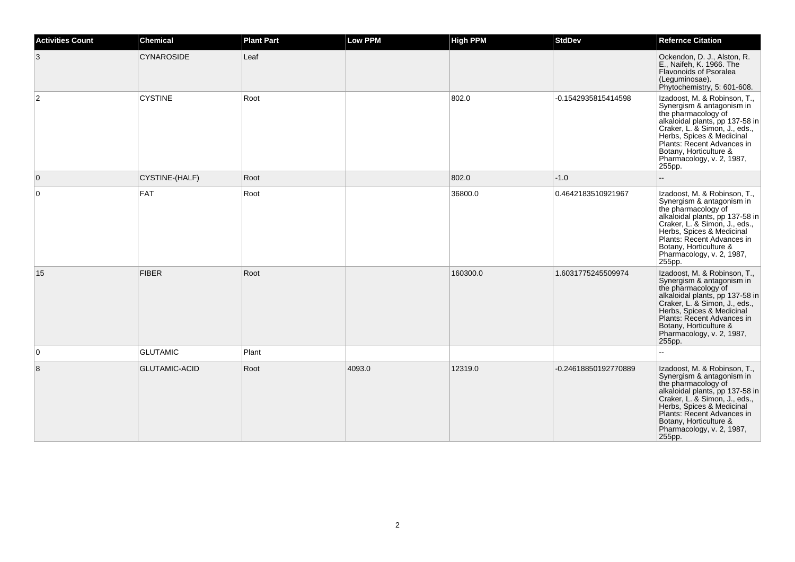| <b>Activities Count</b> | <b>Chemical</b>      | <b>Plant Part</b> | Low PPM | <b>High PPM</b> | <b>StdDev</b>        | <b>Refernce Citation</b>                                                                                                                                                                                                                                                         |
|-------------------------|----------------------|-------------------|---------|-----------------|----------------------|----------------------------------------------------------------------------------------------------------------------------------------------------------------------------------------------------------------------------------------------------------------------------------|
| 3                       | <b>CYNAROSIDE</b>    | Leaf              |         |                 |                      | Ockendon, D. J., Alston, R.<br>E., Naifeh, K. 1966. The<br>Flavonoids of Psoralea<br>(Leguminosae).<br>Phytochemistry, 5: 601-608.                                                                                                                                               |
| $\overline{2}$          | <b>CYSTINE</b>       | Root              |         | 802.0           | -0.1542935815414598  | Izadoost, M. & Robinson, T.,<br>Synergism & antagonism in<br>the pharmacology of<br>alkaloidal plants, pp 137-58 in<br>Craker, L. & Simon, J., eds.,<br>Herbs, Spices & Medicinal<br>Plants: Recent Advances in<br>Botany, Horticulture &<br>Pharmacology, v. 2, 1987,<br>255pp. |
| $\mathbf{0}$            | CYSTINE-(HALF)       | Root              |         | 802.0           | $-1.0$               |                                                                                                                                                                                                                                                                                  |
| 0                       | <b>FAT</b>           | Root              |         | 36800.0         | 0.4642183510921967   | Izadoost, M. & Robinson, T.,<br>Synergism & antagonism in<br>the pharmacology of<br>alkaloidal plants, pp 137-58 in<br>Craker, L. & Simon, J., eds.,<br>Herbs, Spices & Medicinal<br>Plants: Recent Advances in<br>Botany, Horticulture &<br>Pharmacology, v. 2, 1987,<br>255pp. |
| 15                      | <b>FIBER</b>         | Root              |         | 160300.0        | 1.6031775245509974   | Izadoost, M. & Robinson, T.,<br>Synergism & antagonism in<br>the pharmacology of<br>alkaloidal plants, pp 137-58 in<br>Craker, L. & Simon, J., eds.,<br>Herbs, Spices & Medicinal<br>Plants: Recent Advances in<br>Botany, Horticulture &<br>Pharmacology, v. 2, 1987,<br>255pp. |
| 0                       | <b>GLUTAMIC</b>      | Plant             |         |                 |                      |                                                                                                                                                                                                                                                                                  |
| 8                       | <b>GLUTAMIC-ACID</b> | Root              | 4093.0  | 12319.0         | -0.24618850192770889 | Izadoost, M. & Robinson, T.,<br>Synergism & antagonism in<br>the pharmacology of<br>alkaloidal plants, pp 137-58 in<br>Craker, L. & Simon, J., eds.,<br>Herbs, Spices & Medicinal<br>Plants: Recent Advances in<br>Botany, Horticulture &<br>Pharmacology, v. 2, 1987,<br>255pp. |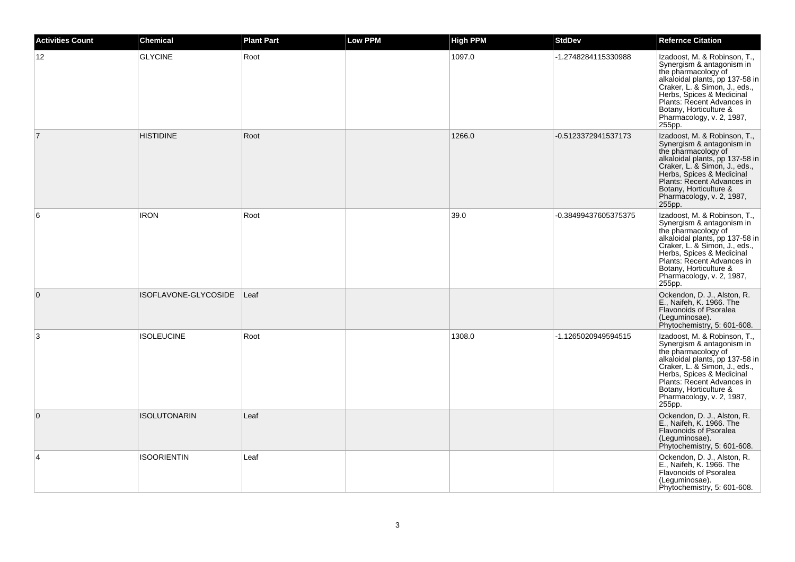| <b>Activities Count</b> | <b>Chemical</b>      | <b>Plant Part</b> | <b>Low PPM</b> | <b>High PPM</b> | <b>StdDev</b>        | <b>Refernce Citation</b>                                                                                                                                                                                                                                                         |
|-------------------------|----------------------|-------------------|----------------|-----------------|----------------------|----------------------------------------------------------------------------------------------------------------------------------------------------------------------------------------------------------------------------------------------------------------------------------|
| 12                      | <b>GLYCINE</b>       | Root              |                | 1097.0          | -1.2748284115330988  | Izadoost, M. & Robinson, T.,<br>Synergism & antagonism in<br>the pharmacology of<br>alkaloidal plants, pp 137-58 in<br>Craker, L. & Simon, J., eds.,<br>Herbs, Spices & Medicinal<br>Plants: Recent Advances in<br>Botany, Horticulture &<br>Pharmacology, v. 2, 1987,<br>255pp. |
| $\overline{7}$          | <b>HISTIDINE</b>     | Root              |                | 1266.0          | -0.5123372941537173  | Izadoost, M. & Robinson, T.,<br>Synergism & antagonism in<br>the pharmacology of<br>alkaloidal plants, pp 137-58 in<br>Craker, L. & Simon, J., eds.,<br>Herbs, Spices & Medicinal<br>Plants: Recent Advances in<br>Botany, Horticulture &<br>Pharmacology, v. 2, 1987,<br>255pp. |
| 6                       | <b>IRON</b>          | Root              |                | 39.0            | -0.38499437605375375 | Izadoost, M. & Robinson, T.,<br>Synergism & antagonism in<br>the pharmacology of<br>alkaloidal plants, pp 137-58 in<br>Craker, L. & Simon, J., eds.,<br>Herbs, Spices & Medicinal<br>Plants: Recent Advances in<br>Botany, Horticulture &<br>Pharmacology, v. 2, 1987,<br>255pp. |
| $\mathbf{0}$            | ISOFLAVONE-GLYCOSIDE | $ $ Leaf          |                |                 |                      | Ockendon, D. J., Alston, R.<br>E., Naifeh, K. 1966. The<br><b>Flavonoids of Psoralea</b><br>(Leguminosae).<br>Phytochemistry, 5: 601-608.                                                                                                                                        |
| 3                       | <b>ISOLEUCINE</b>    | Root              |                | 1308.0          | -1.1265020949594515  | Izadoost, M. & Robinson, T.,<br>Synergism & antagonism in<br>the pharmacology of<br>alkaloidal plants, pp 137-58 in<br>Craker, L. & Simon, J., eds.,<br>Herbs, Spices & Medicinal<br>Plants: Recent Advances in<br>Botany, Horticulture &<br>Pharmacology, v. 2, 1987,<br>255pp. |
| $\mathbf{0}$            | <b>ISOLUTONARIN</b>  | Leaf              |                |                 |                      | Ockendon, D. J., Alston, R.<br>E., Naifeh, K. 1966. The<br><b>Flavonoids of Psoralea</b><br>(Leguminosae).<br>Phytochemistry, 5: 601-608.                                                                                                                                        |
| $\overline{4}$          | <b>ISOORIENTIN</b>   | Leaf              |                |                 |                      | Ockendon, D. J., Alston, R.<br>E., Naifeh, K. 1966. The<br><b>Flavonoids of Psoralea</b><br>(Leguminosae).<br>Phytochemistry, 5: 601-608.                                                                                                                                        |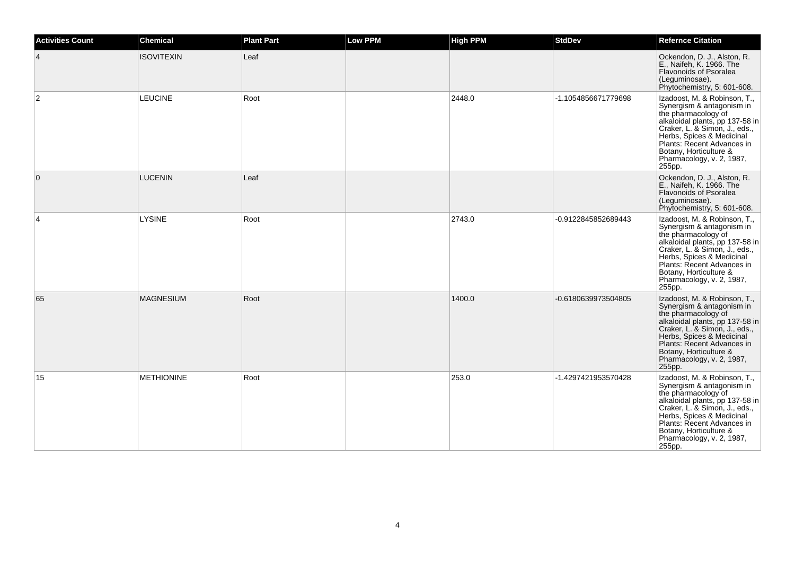| <b>Activities Count</b> | <b>Chemical</b>   | <b>Plant Part</b> | <b>Low PPM</b> | <b>High PPM</b> | <b>StdDev</b>       | <b>Refernce Citation</b>                                                                                                                                                                                                                                                         |
|-------------------------|-------------------|-------------------|----------------|-----------------|---------------------|----------------------------------------------------------------------------------------------------------------------------------------------------------------------------------------------------------------------------------------------------------------------------------|
| 4                       | <b>ISOVITEXIN</b> | Leaf              |                |                 |                     | Ockendon, D. J., Alston, R.<br>E., Naifeh, K. 1966. The<br>Flavonoids of Psoralea<br>(Leguminosae).<br>Phytochemistry, 5: 601-608.                                                                                                                                               |
| 2                       | <b>LEUCINE</b>    | Root              |                | 2448.0          | -1.1054856671779698 | Izadoost, M. & Robinson, T.,<br>Synergism & antagonism in<br>the pharmacology of<br>alkaloidal plants, pp 137-58 in<br>Craker, L. & Simon, J., eds.,<br>Herbs, Spices & Medicinal<br>Plants: Recent Advances in<br>Botany, Horticulture &<br>Pharmacology, v. 2, 1987,<br>255pp. |
| 0                       | <b>LUCENIN</b>    | Leaf              |                |                 |                     | Ockendon, D. J., Alston, R.<br>E., Naifeh, K. 1966. The<br>Flavonoids of Psoralea<br>(Leguminosae).<br>Phytochemistry, 5: 601-608.                                                                                                                                               |
| 4                       | <b>LYSINE</b>     | Root              |                | 2743.0          | -0.9122845852689443 | Izadoost, M. & Robinson, T.,<br>Synergism & antagonism in<br>the pharmacology of<br>alkaloidal plants, pp 137-58 in<br>Craker, L. & Simon, J., eds.,<br>Herbs, Spices & Medicinal<br>Plants: Recent Advances in<br>Botany, Horticulture &<br>Pharmacology, v. 2, 1987,<br>255pp. |
| 65                      | <b>MAGNESIUM</b>  | Root              |                | 1400.0          | -0.6180639973504805 | Izadoost, M. & Robinson, T.,<br>Synergism & antagonism in<br>the pharmacology of<br>alkaloidal plants, pp 137-58 in<br>Craker, L. & Simon, J., eds.,<br>Herbs, Spices & Medicinal<br>Plants: Recent Advances in<br>Botany, Horticulture &<br>Pharmacology, v. 2, 1987,<br>255pp. |
| 15                      | <b>METHIONINE</b> | Root              |                | 253.0           | -1.4297421953570428 | Izadoost, M. & Robinson, T.,<br>Synergism & antagonism in<br>the pharmacology of<br>alkaloidal plants, pp 137-58 in<br>Craker, L. & Simon, J., eds.,<br>Herbs, Spices & Medicinal<br>Plants: Recent Advances in<br>Botany, Horticulture &<br>Pharmacology, v. 2, 1987,<br>255pp. |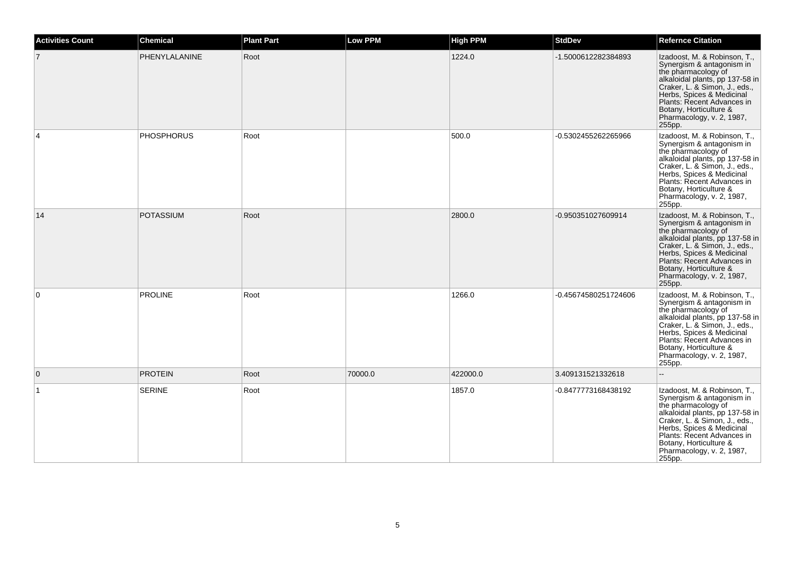| <b>Activities Count</b> | <b>Chemical</b>   | <b>Plant Part</b> | <b>Low PPM</b> | <b>High PPM</b> | <b>StdDev</b>        | <b>Refernce Citation</b>                                                                                                                                                                                                                                                         |
|-------------------------|-------------------|-------------------|----------------|-----------------|----------------------|----------------------------------------------------------------------------------------------------------------------------------------------------------------------------------------------------------------------------------------------------------------------------------|
|                         | PHENYLALANINE     | Root              |                | 1224.0          | -1.5000612282384893  | Izadoost, M. & Robinson, T.,<br>Synergism & antagonism in<br>the pharmacology of<br>alkaloidal plants, pp 137-58 in<br>Craker, L. & Simon, J., eds.,<br>Herbs, Spices & Medicinal<br>Plants: Recent Advances in<br>Botany, Horticulture &<br>Pharmacology, v. 2, 1987,<br>255pp. |
| 4                       | <b>PHOSPHORUS</b> | Root              |                | 500.0           | -0.5302455262265966  | Izadoost, M. & Robinson, T.,<br>Synergism & antagonism in<br>the pharmacology of<br>alkaloidal plants, pp 137-58 in<br>Craker, L. & Simon, J., eds.,<br>Herbs, Spices & Medicinal<br>Plants: Recent Advances in<br>Botany, Horticulture &<br>Pharmacology, v. 2, 1987,<br>255pp. |
| 14                      | <b>POTASSIUM</b>  | Root              |                | 2800.0          | -0.950351027609914   | Izadoost, M. & Robinson, T.,<br>Synergism & antagonism in<br>the pharmacology of<br>alkaloidal plants, pp 137-58 in<br>Craker, L. & Simon, J., eds.,<br>Herbs, Spices & Medicinal<br>Plants: Recent Advances in<br>Botany, Horticulture &<br>Pharmacology, v. 2, 1987,<br>255pp. |
| $\Omega$                | <b>PROLINE</b>    | Root              |                | 1266.0          | -0.45674580251724606 | Izadoost, M. & Robinson, T.,<br>Synergism & antagonism in<br>the pharmacology of<br>alkaloidal plants, pp 137-58 in<br>Craker, L. & Simon, J., eds.,<br>Herbs, Spices & Medicinal<br>Plants: Recent Advances in<br>Botany, Horticulture &<br>Pharmacology, v. 2, 1987,<br>255pp. |
| $\Omega$                | <b>PROTEIN</b>    | Root              | 70000.0        | 422000.0        | 3.409131521332618    | $\sim$                                                                                                                                                                                                                                                                           |
| $\overline{1}$          | <b>SERINE</b>     | Root              |                | 1857.0          | -0.8477773168438192  | Izadoost, M. & Robinson, T.,<br>Synergism & antagonism in<br>the pharmacology of<br>alkaloidal plants, pp 137-58 in<br>Craker, L. & Simon, J., eds.,<br>Herbs, Spices & Medicinal<br>Plants: Recent Advances in<br>Botany, Horticulture &<br>Pharmacology, v. 2, 1987,<br>255pp. |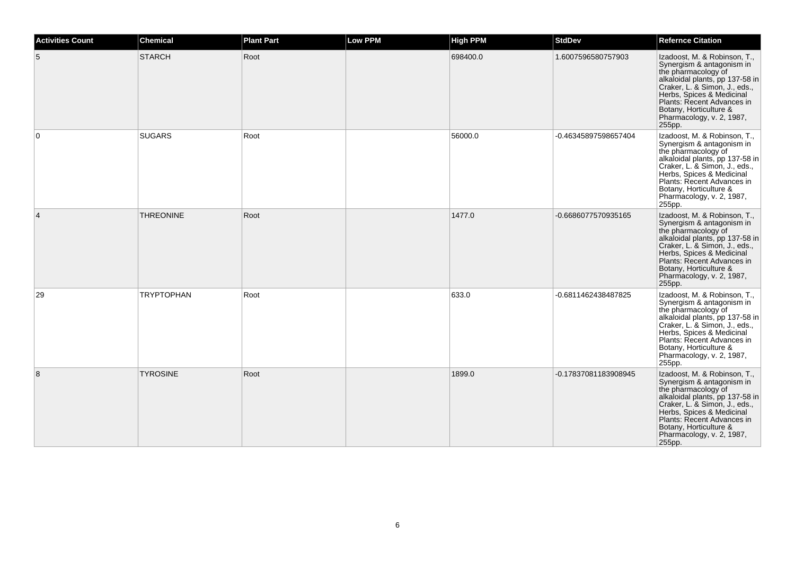| <b>Activities Count</b> | <b>Chemical</b>   | <b>Plant Part</b> | <b>Low PPM</b> | <b>High PPM</b> | <b>StdDev</b>        | <b>Refernce Citation</b>                                                                                                                                                                                                                                                         |
|-------------------------|-------------------|-------------------|----------------|-----------------|----------------------|----------------------------------------------------------------------------------------------------------------------------------------------------------------------------------------------------------------------------------------------------------------------------------|
| 5                       | <b>STARCH</b>     | Root              |                | 698400.0        | 1.6007596580757903   | Izadoost, M. & Robinson, T.,<br>Synergism & antagonism in<br>the pharmacology of<br>alkaloidal plants, pp 137-58 in<br>Craker, L. & Simon, J., eds.,<br>Herbs, Spices & Medicinal<br>Plants: Recent Advances in<br>Botany, Horticulture &<br>Pharmacology, v. 2, 1987,<br>255pp. |
| $\Omega$                | <b>SUGARS</b>     | Root              |                | 56000.0         | -0.46345897598657404 | Izadoost, M. & Robinson, T.,<br>Synergism & antagonism in<br>the pharmacology of<br>alkaloidal plants, pp 137-58 in<br>Craker, L. & Simon, J., eds.,<br>Herbs, Spices & Medicinal<br>Plants: Recent Advances in<br>Botany, Horticulture &<br>Pharmacology, v. 2, 1987,<br>255pp. |
| $\overline{4}$          | <b>THREONINE</b>  | Root              |                | 1477.0          | -0.6686077570935165  | Izadoost, M. & Robinson, T.,<br>Synergism & antagonism in<br>the pharmacology of<br>alkaloidal plants, pp 137-58 in<br>Craker, L. & Simon, J., eds.,<br>Herbs, Spices & Medicinal<br>Plants: Recent Advances in<br>Botany, Horticulture &<br>Pharmacology, v. 2, 1987,<br>255pp. |
| 29                      | <b>TRYPTOPHAN</b> | Root              |                | 633.0           | -0.6811462438487825  | Izadoost, M. & Robinson, T.,<br>Synergism & antagonism in<br>the pharmacology of<br>alkaloidal plants, pp 137-58 in<br>Craker, L. & Simon, J., eds.,<br>Herbs, Spices & Medicinal<br>Plants: Recent Advances in<br>Botany, Horticulture &<br>Pharmacology, v. 2, 1987,<br>255pp. |
| 8                       | <b>TYROSINE</b>   | Root              |                | 1899.0          | -0.17837081183908945 | Izadoost, M. & Robinson, T.,<br>Synergism & antagonism in<br>the pharmacology of<br>alkaloidal plants, pp 137-58 in<br>Craker, L. & Simon, J., eds.,<br>Herbs, Spices & Medicinal<br>Plants: Recent Advances in<br>Botany, Horticulture &<br>Pharmacology, v. 2, 1987,<br>255pp. |